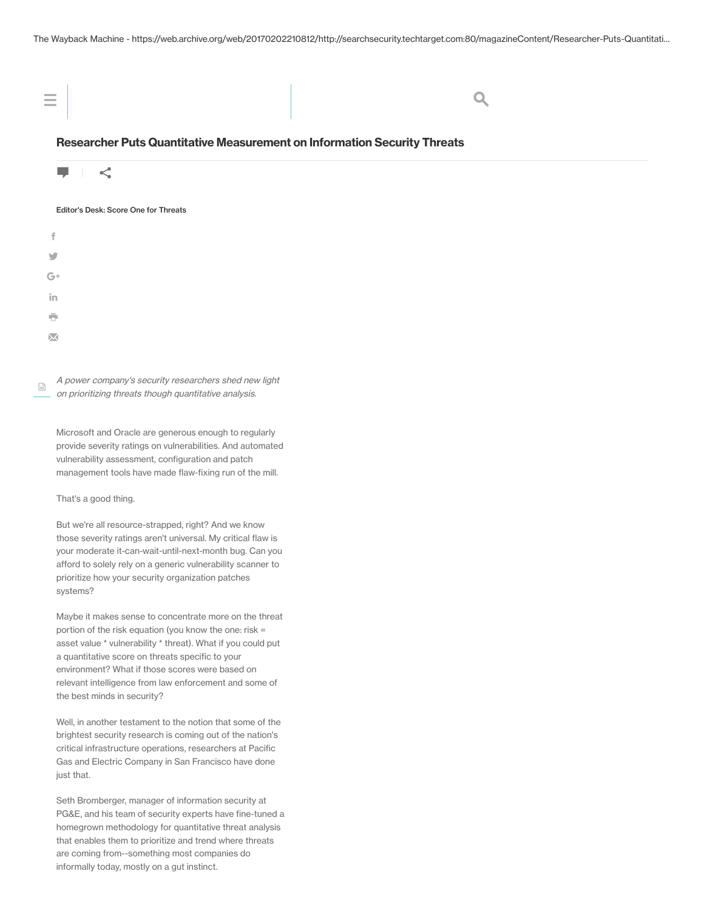| $\equiv$                                                                   |  |
|----------------------------------------------------------------------------|--|
| Decease best Dute Quantitative Measurement on Information Coourity Throate |  |

## Researcher Puts Quantitative Measurement on Information Security Threats



## Editor's Desk: Score One for Threats

| $\ddot{\mathrm{f}}$      |  |  |  |
|--------------------------|--|--|--|
| $\overline{\mathcal{F}}$ |  |  |  |
| $G+$                     |  |  |  |
| in                       |  |  |  |
| $\bar{\mathbf{C}}$       |  |  |  |
| $\overline{\mathbf{X}}$  |  |  |  |

A power company's security researchers shed new light on prioritizing threats though quantitative analysis.  $\boxed{\exists}$ 

Microsoft and Oracle are generous enough to regularly provide severity ratings on vulnerabilities. And automated vulnerability assessment, configuration and patch management tools have made flaw-fixing run of the mill.

That's a good thing.

But we're all resource-strapped, right? And we know those severity ratings aren't universal. My critical flaw is your moderate it-can-wait-until-next-month bug. Can you afford to solely rely on a generic vulnerability scanner to prioritize how your security organization patches systems?

Maybe it makes sense to concentrate more on the threat portion of the risk equation (you know the one: risk = asset value \* vulnerability \* threat). What if you could put a quantitative score on threats specific to your environment? What if those scores were based on relevant intelligence from law enforcement and some of the best minds in security?

Well, in another testament to the notion that some of the brightest security research is coming out of the nation's critical infrastructure operations, researchers at Pacific Gas and Electric Company in San Francisco have done just that.

Seth Bromberger, manager of information security at PG&E, and his team of security experts have fine-tuned a homegrown methodology for quantitative threat analysis that enables them to prioritize and trend where threats are coming from--something most companies do informally today, mostly on a gut instinct.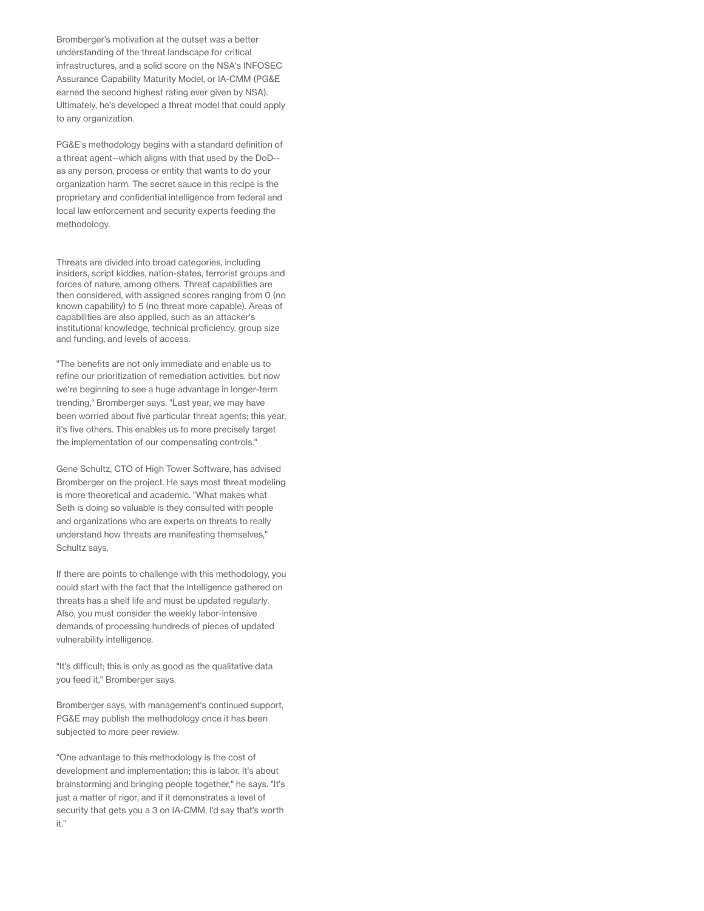Bromberger's motivation at the outset was a better understanding of the threat landscape for critical infrastructures, and a solid score on the NSA's INFOSEC Assurance Capability Maturity Model, or IA-CMM (PG&E earned the second highest rating ever given by NSA). Ultimately, he's developed a threat model that could apply to any organization.

PG&E's methodology begins with a standard definition of a threat agent--which aligns with that used by the DoD- as any person, process or entity that wants to do your organization harm. The secret sauce in this recipe is the proprietary and confidential intelligence from federal and local law enforcement and security experts feeding the methodology.

Threats are divided into broad categories, including insiders, script kiddies, nation-states, terrorist groups and forces of nature, among others. Threat capabilities are then considered, with assigned scores ranging from 0 (no known capability) to 5 (no threat more capable). Areas of capabilities are also applied, such as an attacker's institutional knowledge, technical proficiency, group size and funding, and levels of access.

"The benefits are not only immediate and enable us to refine our prioritization of remediation activities, but now we're beginning to see a huge advantage in longer-term trending," Bromberger says. "Last year, we may have been worried about five particular threat agents; this year, it's five others. This enables us to more precisely target the implementation of our compensating controls."

Gene Schultz, CTO of High Tower Software, has advised Bromberger on the project. He says most threat modeling is more theoretical and academic. "What makes what Seth is doing so valuable is they consulted with people and organizations who are experts on threats to really understand how threats are manifesting themselves," Schultz says.

If there are points to challenge with this methodology, you could start with the fact that the intelligence gathered on threats has a shelf life and must be updated regularly. Also, you must consider the weekly labor-intensive demands of processing hundreds of pieces of updated vulnerability intelligence.

"It's difficult; this is only as good as the qualitative data you feed it," Bromberger says.

Bromberger says, with management's continued support, PG&E may publish the methodology once it has been subjected to more peer review.

"One advantage to this methodology is the cost of development and implementation; this is labor. It's about brainstorming and bringing people together," he says. "It's just a matter of rigor, and if it demonstrates a level of security that gets you a 3 on IA-CMM, I'd say that's worth it."